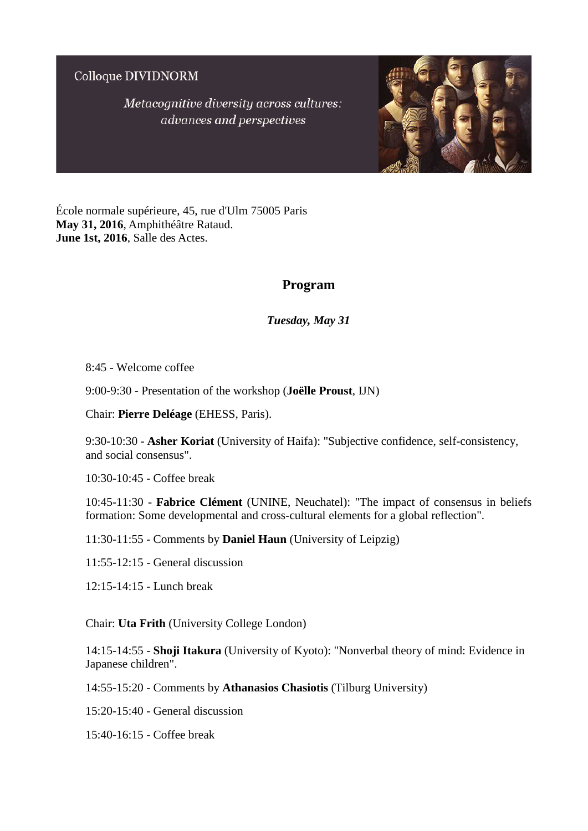Colloque DIVIDNORM

Metacognitive diversity across cultures: advances and perspectives



École normale supérieure, 45, rue d'Ulm 75005 Paris **May 31, 2016**, Amphithéâtre Rataud. **June 1st, 2016**, Salle des Actes.

# **Program**

*Tuesday, May 31*

8:45 - Welcome coffee

9:00-9:30 - Presentation of the workshop (**Joëlle Proust**, IJN)

Chair: **Pierre Deléage** (EHESS, Paris).

9:30-10:30 - **Asher Koriat** (University of Haifa): "Subjective confidence, self-consistency, and social consensus".

10:30-10:45 - Coffee break

10:45-11:30 - **Fabrice Clément** (UNINE, Neuchatel): "The impact of consensus in beliefs formation: Some developmental and cross-cultural elements for a global reflection".

11:30-11:55 - Comments by **Daniel Haun** (University of Leipzig)

11:55-12:15 - General discussion

12:15-14:15 - Lunch break

Chair: **Uta Frith** (University College London)

14:15-14:55 - **Shoji Itakura** (University of Kyoto): "Nonverbal theory of mind: Evidence in Japanese children".

14:55-15:20 - Comments by **Athanasios Chasiotis** (Tilburg University)

15:20-15:40 - General discussion

15:40-16:15 - Coffee break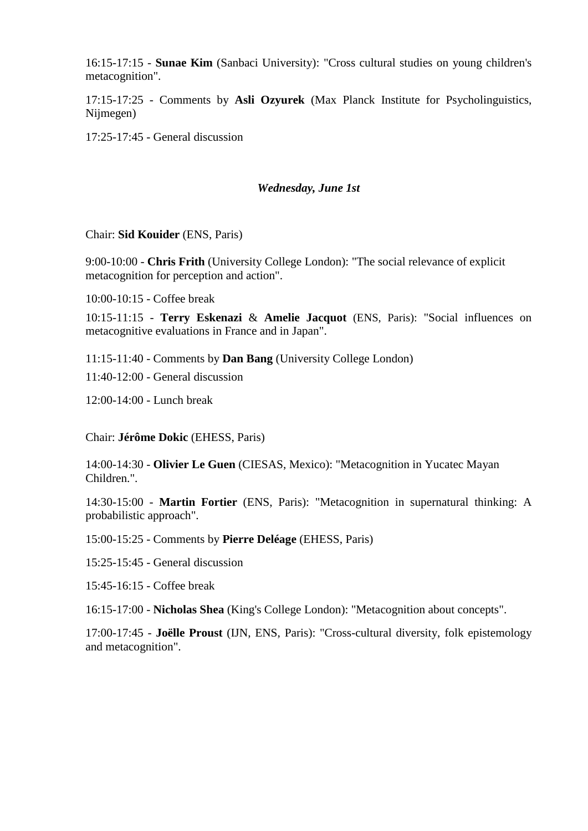16:15-17:15 - **Sunae Kim** (Sanbaci University): "Cross cultural studies on young children's metacognition".

17:15-17:25 - Comments by **Asli Ozyurek** (Max Planck Institute for Psycholinguistics, Nijmegen)

17:25-17:45 - General discussion

#### *Wednesday, June 1st*

Chair: **Sid Kouider** (ENS, Paris)

9:00-10:00 - **Chris Frith** (University College London): "The social relevance of explicit metacognition for perception and action".

10:00-10:15 - Coffee break

10:15-11:15 - **Terry Eskenazi** & **Amelie Jacquot** (ENS, Paris): "Social influences on metacognitive evaluations in France and in Japan".

11:15-11:40 - Comments by **Dan Bang** (University College London)

11:40-12:00 - General discussion

12:00-14:00 - Lunch break

Chair: **Jérôme Dokic** (EHESS, Paris)

14:00-14:30 - **Olivier Le Guen** (CIESAS, Mexico): "Metacognition in Yucatec Mayan Children.".

14:30-15:00 - **Martin Fortier** (ENS, Paris): "Metacognition in supernatural thinking: A probabilistic approach".

15:00-15:25 - Comments by **Pierre Deléage** (EHESS, Paris)

15:25-15:45 - General discussion

15:45-16:15 - Coffee break

16:15-17:00 - **Nicholas Shea** (King's College London): "Metacognition about concepts".

17:00-17:45 - **Joëlle Proust** (IJN, ENS, Paris): "Cross-cultural diversity, folk epistemology and metacognition".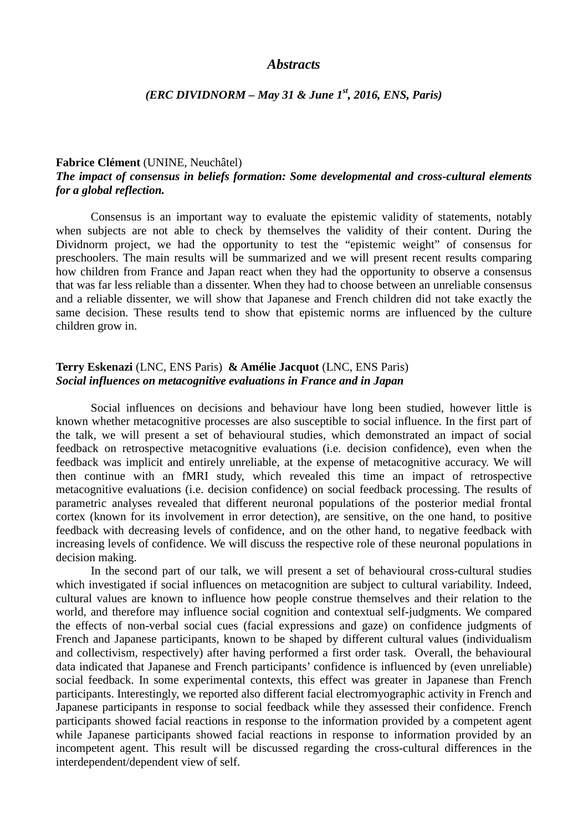## *Abstracts*

## *(ERC DIVIDNORM – May 31 & June 1st, 2016, ENS, Paris)*

#### **Fabrice Clément** (UNINE, Neuchâtel)

## *The impact of consensus in beliefs formation: Some developmental and cross-cultural elements for a global reflection.*

Consensus is an important way to evaluate the epistemic validity of statements, notably when subjects are not able to check by themselves the validity of their content. During the Dividnorm project, we had the opportunity to test the "epistemic weight" of consensus for preschoolers. The main results will be summarized and we will present recent results comparing how children from France and Japan react when they had the opportunity to observe a consensus that was far less reliable than a dissenter. When they had to choose between an unreliable consensus and a reliable dissenter, we will show that Japanese and French children did not take exactly the same decision. These results tend to show that epistemic norms are influenced by the culture children grow in.

## **Terry Eskenazi** (LNC, ENS Paris) **& Amélie Jacquot** (LNC, ENS Paris) *Social influences on metacognitive evaluations in France and in Japan*

Social influences on decisions and behaviour have long been studied, however little is known whether metacognitive processes are also susceptible to social influence. In the first part of the talk, we will present a set of behavioural studies, which demonstrated an impact of social feedback on retrospective metacognitive evaluations (i.e. decision confidence), even when the feedback was implicit and entirely unreliable, at the expense of metacognitive accuracy. We will then continue with an fMRI study, which revealed this time an impact of retrospective metacognitive evaluations (i.e. decision confidence) on social feedback processing. The results of parametric analyses revealed that different neuronal populations of the posterior medial frontal cortex (known for its involvement in error detection), are sensitive, on the one hand, to positive feedback with decreasing levels of confidence, and on the other hand, to negative feedback with increasing levels of confidence. We will discuss the respective role of these neuronal populations in decision making.

In the second part of our talk, we will present a set of behavioural cross-cultural studies which investigated if social influences on metacognition are subject to cultural variability. Indeed, cultural values are known to influence how people construe themselves and their relation to the world, and therefore may influence social cognition and contextual self-judgments. We compared the effects of non-verbal social cues (facial expressions and gaze) on confidence judgments of French and Japanese participants, known to be shaped by different cultural values (individualism and collectivism, respectively) after having performed a first order task. Overall, the behavioural data indicated that Japanese and French participants' confidence is influenced by (even unreliable) social feedback. In some experimental contexts, this effect was greater in Japanese than French participants. Interestingly, we reported also different facial electromyographic activity in French and Japanese participants in response to social feedback while they assessed their confidence. French participants showed facial reactions in response to the information provided by a competent agent while Japanese participants showed facial reactions in response to information provided by an incompetent agent. This result will be discussed regarding the cross-cultural differences in the interdependent/dependent view of self.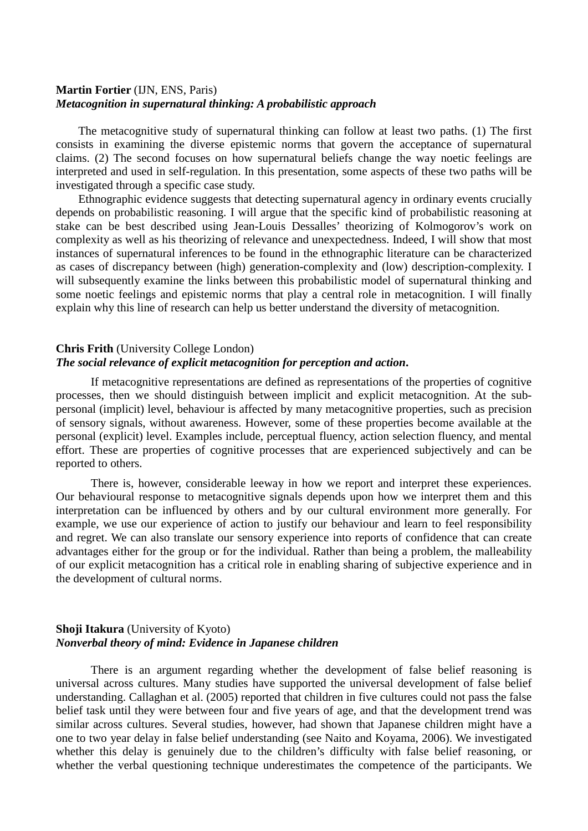#### **Martin Fortier** (IJN, ENS, Paris) *Metacognition in supernatural thinking: A probabilistic approach*

The metacognitive study of supernatural thinking can follow at least two paths. (1) The first consists in examining the diverse epistemic norms that govern the acceptance of supernatural claims. (2) The second focuses on how supernatural beliefs change the way noetic feelings are interpreted and used in self-regulation. In this presentation, some aspects of these two paths will be investigated through a specific case study.

Ethnographic evidence suggests that detecting supernatural agency in ordinary events crucially depends on probabilistic reasoning. I will argue that the specific kind of probabilistic reasoning at stake can be best described using Jean-Louis Dessalles' theorizing of Kolmogorov's work on complexity as well as his theorizing of relevance and unexpectedness. Indeed, I will show that most instances of supernatural inferences to be found in the ethnographic literature can be characterized as cases of discrepancy between (high) generation-complexity and (low) description-complexity. I will subsequently examine the links between this probabilistic model of supernatural thinking and some noetic feelings and epistemic norms that play a central role in metacognition. I will finally explain why this line of research can help us better understand the diversity of metacognition.

## **Chris Frith** (University College London)

## *The social relevance of explicit metacognition for perception and action***.**

If metacognitive representations are defined as representations of the properties of cognitive processes, then we should distinguish between implicit and explicit metacognition. At the subpersonal (implicit) level, behaviour is affected by many metacognitive properties, such as precision of sensory signals, without awareness. However, some of these properties become available at the personal (explicit) level. Examples include, perceptual fluency, action selection fluency, and mental effort. These are properties of cognitive processes that are experienced subjectively and can be reported to others.

There is, however, considerable leeway in how we report and interpret these experiences. Our behavioural response to metacognitive signals depends upon how we interpret them and this interpretation can be influenced by others and by our cultural environment more generally. For example, we use our experience of action to justify our behaviour and learn to feel responsibility and regret. We can also translate our sensory experience into reports of confidence that can create advantages either for the group or for the individual. Rather than being a problem, the malleability of our explicit metacognition has a critical role in enabling sharing of subjective experience and in the development of cultural norms.

## **Shoji Itakura** (University of Kyoto) *Nonverbal theory of mind: Evidence in Japanese children*

There is an argument regarding whether the development of false belief reasoning is universal across cultures. Many studies have supported the universal development of false belief understanding. Callaghan et al. (2005) reported that children in five cultures could not pass the false belief task until they were between four and five years of age, and that the development trend was similar across cultures. Several studies, however, had shown that Japanese children might have a one to two year delay in false belief understanding (see Naito and Koyama, 2006). We investigated whether this delay is genuinely due to the children's difficulty with false belief reasoning, or whether the verbal questioning technique underestimates the competence of the participants. We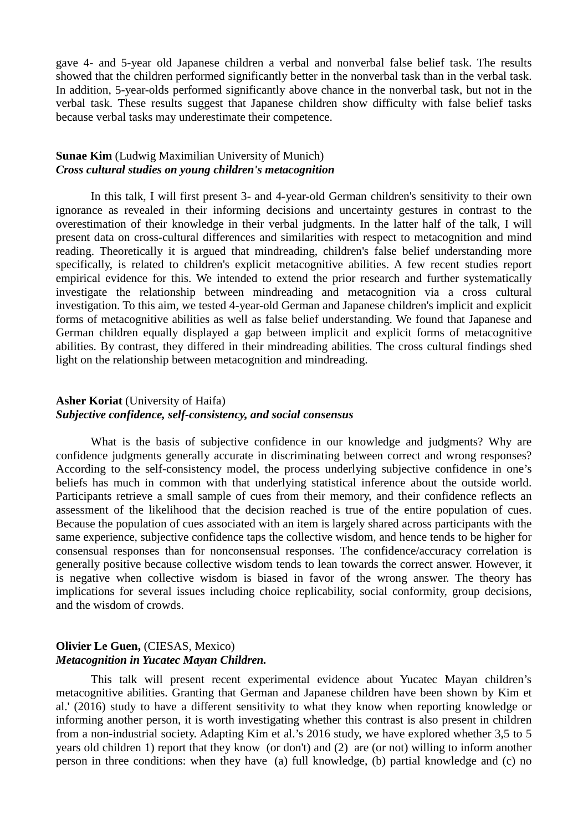gave 4- and 5-year old Japanese children a verbal and nonverbal false belief task. The results showed that the children performed significantly better in the nonverbal task than in the verbal task. In addition, 5-year-olds performed significantly above chance in the nonverbal task, but not in the verbal task. These results suggest that Japanese children show difficulty with false belief tasks because verbal tasks may underestimate their competence.

## **Sunae Kim** (Ludwig Maximilian University of Munich) *Cross cultural studies on young children's metacognition*

In this talk, I will first present 3- and 4-year-old German children's sensitivity to their own ignorance as revealed in their informing decisions and uncertainty gestures in contrast to the overestimation of their knowledge in their verbal judgments. In the latter half of the talk, I will present data on cross-cultural differences and similarities with respect to metacognition and mind reading. Theoretically it is argued that mindreading, children's false belief understanding more specifically, is related to children's explicit metacognitive abilities. A few recent studies report empirical evidence for this. We intended to extend the prior research and further systematically investigate the relationship between mindreading and metacognition via a cross cultural investigation. To this aim, we tested 4-year-old German and Japanese children's implicit and explicit forms of metacognitive abilities as well as false belief understanding. We found that Japanese and German children equally displayed a gap between implicit and explicit forms of metacognitive abilities. By contrast, they differed in their mindreading abilities. The cross cultural findings shed light on the relationship between metacognition and mindreading.

## **Asher Koriat** (University of Haifa) *Subjective confidence, self-consistency, and social consensus*

What is the basis of subjective confidence in our knowledge and judgments? Why are confidence judgments generally accurate in discriminating between correct and wrong responses? According to the self-consistency model, the process underlying subjective confidence in one's beliefs has much in common with that underlying statistical inference about the outside world. Participants retrieve a small sample of cues from their memory, and their confidence reflects an assessment of the likelihood that the decision reached is true of the entire population of cues. Because the population of cues associated with an item is largely shared across participants with the same experience, subjective confidence taps the collective wisdom, and hence tends to be higher for consensual responses than for nonconsensual responses. The confidence/accuracy correlation is generally positive because collective wisdom tends to lean towards the correct answer. However, it is negative when collective wisdom is biased in favor of the wrong answer. The theory has implications for several issues including choice replicability, social conformity, group decisions, and the wisdom of crowds.

## **Olivier Le Guen,** (CIESAS, Mexico) *Metacognition in Yucatec Mayan Children.*

This talk will present recent experimental evidence about Yucatec Mayan children's metacognitive abilities. Granting that German and Japanese children have been shown by Kim et al.' (2016) study to have a different sensitivity to what they know when reporting knowledge or informing another person, it is worth investigating whether this contrast is also present in children from a non-industrial society. Adapting Kim et al.'s 2016 study, we have explored whether 3,5 to 5 years old children 1) report that they know (or don't) and (2) are (or not) willing to inform another person in three conditions: when they have (a) full knowledge, (b) partial knowledge and (c) no